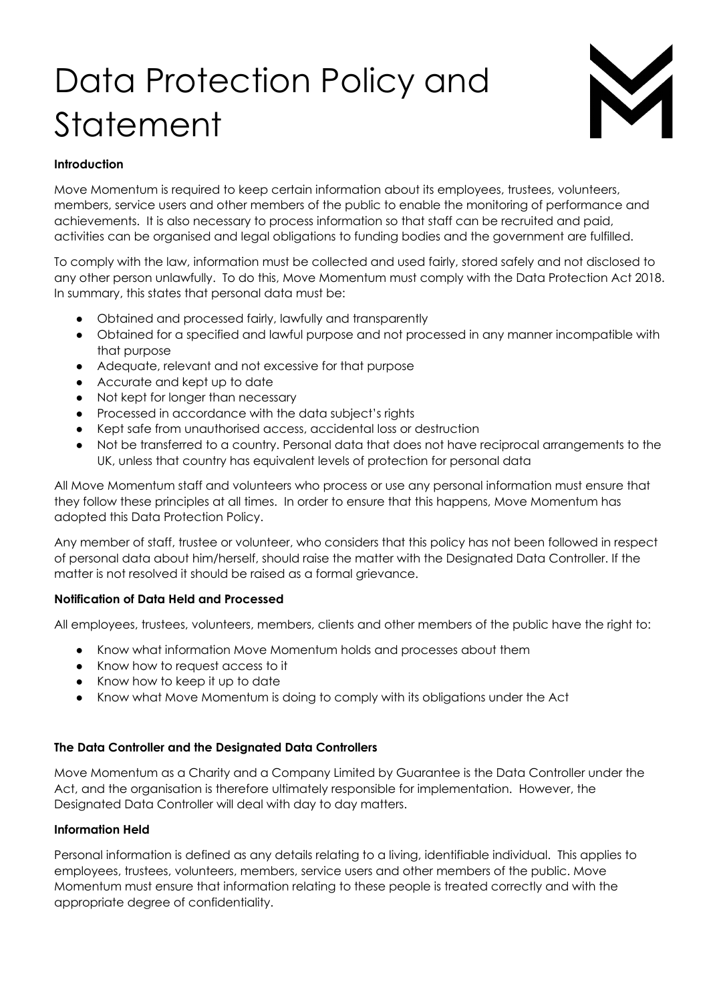# Data Protection Policy and Statement



## **Introduction**

Move Momentum is required to keep certain information about its employees, trustees, volunteers, members, service users and other members of the public to enable the monitoring of performance and achievements. It is also necessary to process information so that staff can be recruited and paid, activities can be organised and legal obligations to funding bodies and the government are fulfilled.

To comply with the law, information must be collected and used fairly, stored safely and not disclosed to any other person unlawfully. To do this, Move Momentum must comply with the Data Protection Act 2018. In summary, this states that personal data must be:

- Obtained and processed fairly, lawfully and transparently
- Obtained for a specified and lawful purpose and not processed in any manner incompatible with that purpose
- Adequate, relevant and not excessive for that purpose
- Accurate and kept up to date
- Not kept for longer than necessary
- Processed in accordance with the data subject's rights
- Kept safe from unauthorised access, accidental loss or destruction
- Not be transferred to a country. Personal data that does not have reciprocal arrangements to the UK, unless that country has equivalent levels of protection for personal data

All Move Momentum staff and volunteers who process or use any personal information must ensure that they follow these principles at all times. In order to ensure that this happens, Move Momentum has adopted this Data Protection Policy.

Any member of staff, trustee or volunteer, who considers that this policy has not been followed in respect of personal data about him/herself, should raise the matter with the Designated Data Controller. If the matter is not resolved it should be raised as a formal grievance.

## **Notification of Data Held and Processed**

All employees, trustees, volunteers, members, clients and other members of the public have the right to:

- Know what information Move Momentum holds and processes about them
- Know how to request access to it
- Know how to keep it up to date
- Know what Move Momentum is doing to comply with its obligations under the Act

## **The Data Controller and the Designated Data Controllers**

Move Momentum as a Charity and a Company Limited by Guarantee is the Data Controller under the Act, and the organisation is therefore ultimately responsible for implementation. However, the Designated Data Controller will deal with day to day matters.

## **Information Held**

Personal information is defined as any details relating to a living, identifiable individual. This applies to employees, trustees, volunteers, members, service users and other members of the public. Move Momentum must ensure that information relating to these people is treated correctly and with the appropriate degree of confidentiality.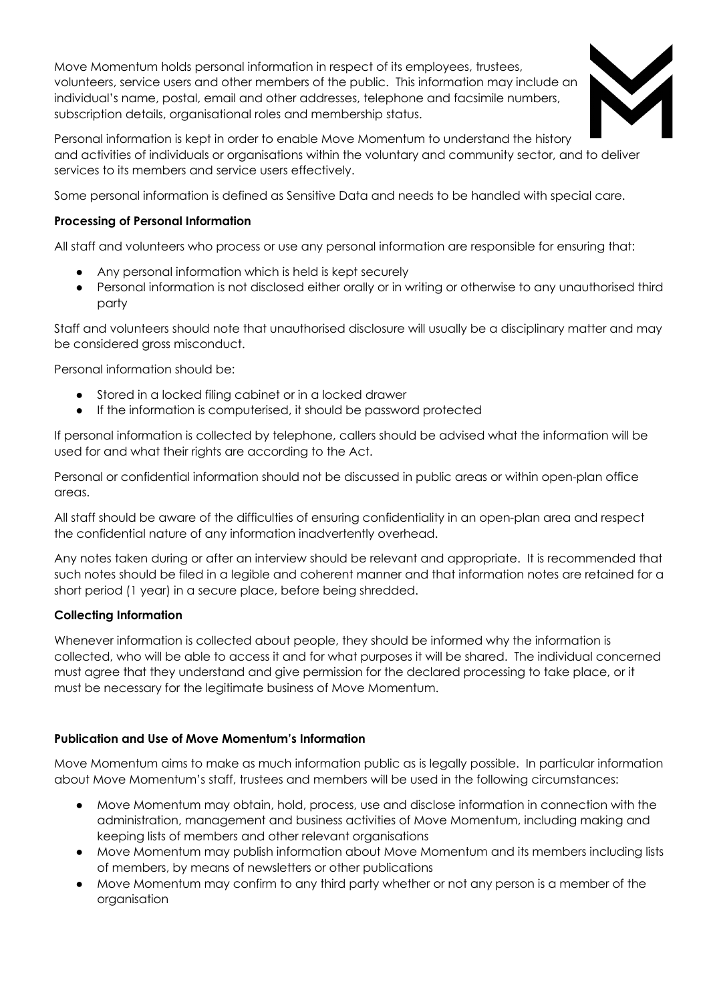Move Momentum holds personal information in respect of its employees, trustees, volunteers, service users and other members of the public. This information may include an individual's name, postal, email and other addresses, telephone and facsimile numbers, subscription details, organisational roles and membership status.



Personal information is kept in order to enable Move Momentum to understand the history and activities of individuals or organisations within the voluntary and community sector, and to deliver services to its members and service users effectively.

Some personal information is defined as Sensitive Data and needs to be handled with special care.

## **Processing of Personal Information**

All staff and volunteers who process or use any personal information are responsible for ensuring that:

- Any personal information which is held is kept securely
- Personal information is not disclosed either orally or in writing or otherwise to any unauthorised third party

Staff and volunteers should note that unauthorised disclosure will usually be a disciplinary matter and may be considered gross misconduct.

Personal information should be:

- Stored in a locked filing cabinet or in a locked drawer
- If the information is computerised, it should be password protected

If personal information is collected by telephone, callers should be advised what the information will be used for and what their rights are according to the Act.

Personal or confidential information should not be discussed in public areas or within open-plan office areas.

All staff should be aware of the difficulties of ensuring confidentiality in an open-plan area and respect the confidential nature of any information inadvertently overhead.

Any notes taken during or after an interview should be relevant and appropriate. It is recommended that such notes should be filed in a legible and coherent manner and that information notes are retained for a short period (1 year) in a secure place, before being shredded.

## **Collecting Information**

Whenever information is collected about people, they should be informed why the information is collected, who will be able to access it and for what purposes it will be shared. The individual concerned must agree that they understand and give permission for the declared processing to take place, or it must be necessary for the legitimate business of Move Momentum.

# **Publication and Use of Move Momentum's Information**

Move Momentum aims to make as much information public as is legally possible. In particular information about Move Momentum's staff, trustees and members will be used in the following circumstances:

- Move Momentum may obtain, hold, process, use and disclose information in connection with the administration, management and business activities of Move Momentum, including making and keeping lists of members and other relevant organisations
- Move Momentum may publish information about Move Momentum and its members including lists of members, by means of newsletters or other publications
- Move Momentum may confirm to any third party whether or not any person is a member of the organisation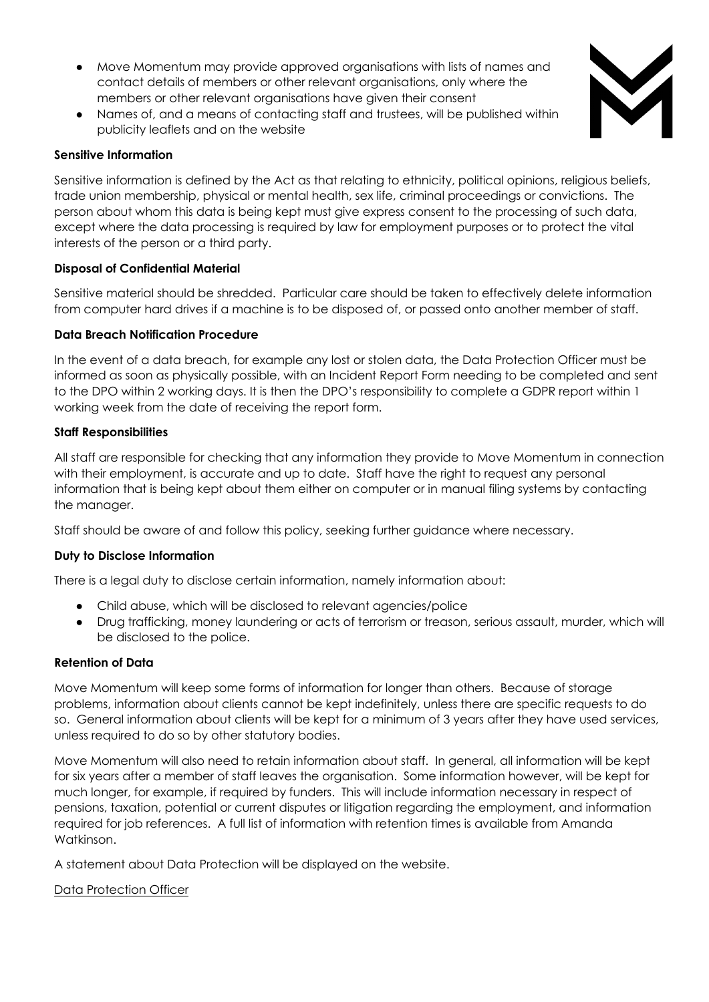- Move Momentum may provide approved organisations with lists of names and contact details of members or other relevant organisations, only where the members or other relevant organisations have given their consent
- Names of, and a means of contacting staff and trustees, will be published within publicity leaflets and on the website



#### **Sensitive Information**

Sensitive information is defined by the Act as that relating to ethnicity, political opinions, religious beliefs, trade union membership, physical or mental health, sex life, criminal proceedings or convictions. The person about whom this data is being kept must give express consent to the processing of such data, except where the data processing is required by law for employment purposes or to protect the vital interests of the person or a third party.

## **Disposal of Confidential Material**

Sensitive material should be shredded. Particular care should be taken to effectively delete information from computer hard drives if a machine is to be disposed of, or passed onto another member of staff.

#### **Data Breach Notification Procedure**

In the event of a data breach, for example any lost or stolen data, the Data Protection Officer must be informed as soon as physically possible, with an Incident Report Form needing to be completed and sent to the DPO within 2 working days. It is then the DPO's responsibility to complete a GDPR report within 1 working week from the date of receiving the report form.

#### **Staff Responsibilities**

All staff are responsible for checking that any information they provide to Move Momentum in connection with their employment, is accurate and up to date. Staff have the right to request any personal information that is being kept about them either on computer or in manual filing systems by contacting the manager.

Staff should be aware of and follow this policy, seeking further guidance where necessary.

#### **Duty to Disclose Information**

There is a legal duty to disclose certain information, namely information about:

- Child abuse, which will be disclosed to relevant agencies/police
- Drug trafficking, money laundering or acts of terrorism or treason, serious assault, murder, which will be disclosed to the police.

#### **Retention of Data**

Move Momentum will keep some forms of information for longer than others. Because of storage problems, information about clients cannot be kept indefinitely, unless there are specific requests to do so. General information about clients will be kept for a minimum of 3 years after they have used services, unless required to do so by other statutory bodies.

Move Momentum will also need to retain information about staff. In general, all information will be kept for six years after a member of staff leaves the organisation. Some information however, will be kept for much longer, for example, if required by funders. This will include information necessary in respect of pensions, taxation, potential or current disputes or litigation regarding the employment, and information required for job references. A full list of information with retention times is available from Amanda Watkinson.

A statement about Data Protection will be displayed on the website.

#### Data Protection Officer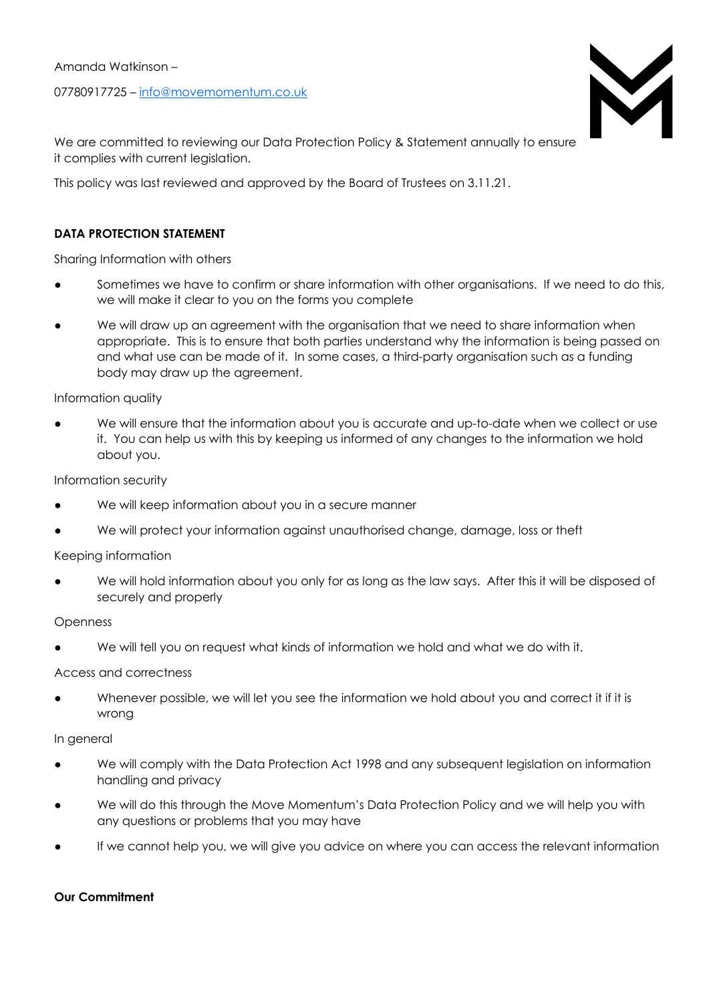#### Amanda Watkinson –

07780917725 – info@movemomentum.co.uk



We are committed to reviewing our Data Protection Policy & Statement annually to ensure it complies with current legislation.

This policy was last reviewed and approved by the Board of Trustees on 3.11.21.

## **DATA PROTECTION STATEMENT**

Sharing Information with others

- Sometimes we have to confirm or share information with other organisations. If we need to do this, we will make it clear to you on the forms you complete
- We will draw up an agreement with the organisation that we need to share information when appropriate. This is to ensure that both parties understand why the information is being passed on and what use can be made of it. In some cases, a third-party organisation such as a funding body may draw up the agreement.

Information quality

We will ensure that the information about you is accurate and up-to-date when we collect or use it. You can help us with this by keeping us informed of any changes to the information we hold about you.

Information security

- We will keep information about you in a secure manner
- We will protect your information against unauthorised change, damage, loss or theft

Keeping information

We will hold information about you only for as long as the law says. After this it will be disposed of securely and properly

Openness

We will tell you on request what kinds of information we hold and what we do with it.

Access and correctness

Whenever possible, we will let you see the information we hold about you and correct it if it is wrong

In general

- We will comply with the Data Protection Act 1998 and any subsequent legislation on information handling and privacy
- We will do this through the Move Momentum's Data Protection Policy and we will help you with any questions or problems that you may have
- If we cannot help you, we will give you advice on where you can access the relevant information

#### **Our Commitment**